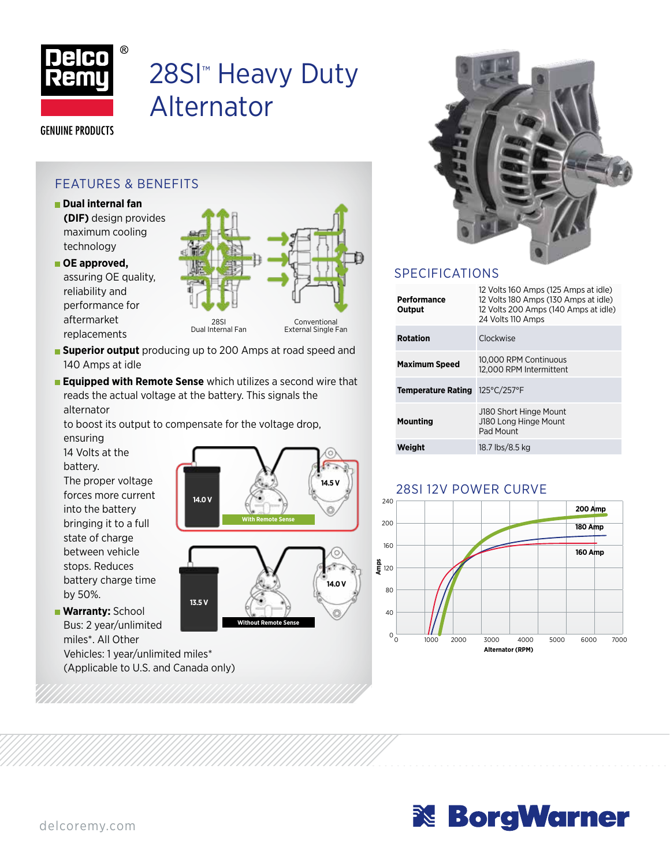

# 28SI<sup>™</sup> Heavy Duty Alternator

**GENUINE PRODUCTS** 

### FEATURES & BENEFITS

- **Dual internal fan (DIF)** design provides maximum cooling technology
- **OE approved,** assuring OE quality, reliability and performance for aftermarket replacements



- **Superior output** producing up to 200 Amps at road speed and 140 Amps at idle
- **Equipped with Remote Sense** which utilizes a second wire that reads the actual voltage at the battery. This signals the alternator

to boost its output to compensate for the voltage drop, ensuring

14 Volts at the battery. The proper voltage forces more current into the battery bringing it to a full state of charge between vehicle stops. Reduces battery charge time by 50%.

**Warranty:** School Bus: 2 year/unlimited miles\*. All Other Vehicles: 1 year/unlimited miles\* (Applicable to U.S. and Canada only)



**Without Remote Sense**



## SPECIFICATIONS

| Performance<br>Output | 12 Volts 160 Amps (125 Amps at idle)<br>12 Volts 180 Amps (130 Amps at idle)<br>12 Volts 200 Amps (140 Amps at idle)<br>24 Volts 110 Amps |
|-----------------------|-------------------------------------------------------------------------------------------------------------------------------------------|
| <b>Rotation</b>       | Clockwise                                                                                                                                 |
| <b>Maximum Speed</b>  | 10.000 RPM Continuous<br>12,000 RPM Intermittent                                                                                          |
| Temperature Rating    | 125°C/257°F                                                                                                                               |
| Mounting              | J180 Short Hinge Mount<br>J180 Long Hinge Mount<br>Pad Mount                                                                              |
| Weight                | 18.7 lbs/8.5 kg                                                                                                                           |

#### 28SI 12V POWER CURVE